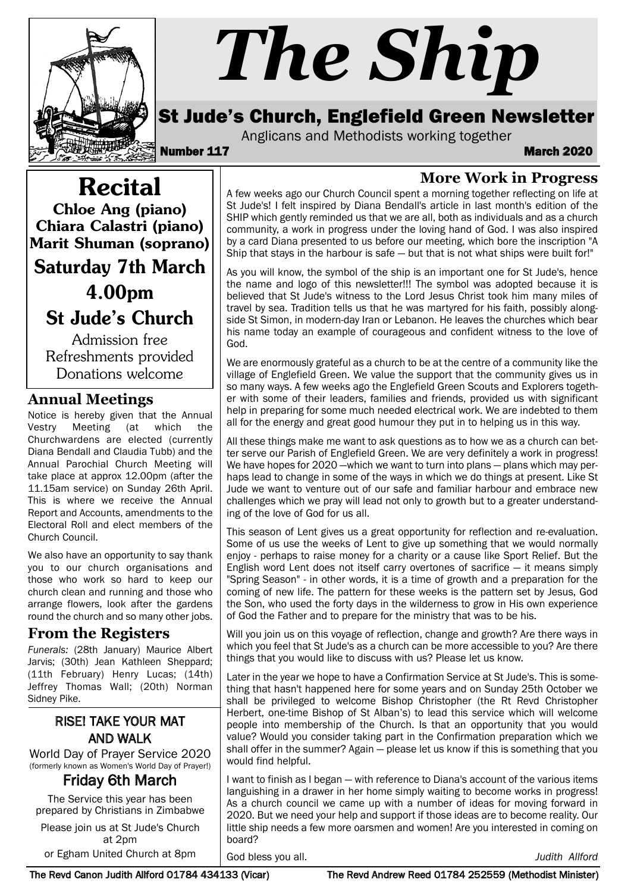

# *The Ship*

### St Jude's Church, Englefield Green Newsletter

A few weeks ago our Church Council spent a morning together reflecting on life at St Jude's! I felt inspired by Diana Bendall's article in last month's edition of the SHIP which gently reminded us that we are all, both as individuals and as a church community, a work in progress under the loving hand of God. I was also inspired by a card Diana presented to us before our meeting, which bore the inscription "A Ship that stays in the harbour is safe  $-$  but that is not what ships were built for!" As you will know, the symbol of the ship is an important one for St Jude's, hence the name and logo of this newsletter!!! The symbol was adopted because it is believed that St Jude's witness to the Lord Jesus Christ took him many miles of travel by sea. Tradition tells us that he was martyred for his faith, possibly alongside St Simon, in modern-day Iran or Lebanon. He leaves the churches which bear his name today an example of courageous and confident witness to the love of

We are enormously grateful as a church to be at the centre of a community like the village of Englefield Green. We value the support that the community gives us in so many ways. A few weeks ago the Englefield Green Scouts and Explorers together with some of their leaders, families and friends, provided us with significant help in preparing for some much needed electrical work. We are indebted to them all for the energy and great good humour they put in to helping us in this way. All these things make me want to ask questions as to how we as a church can better serve our Parish of Englefield Green. We are very definitely a work in progress! We have hopes for 2020 —which we want to turn into plans — plans which may perhaps lead to change in some of the ways in which we do things at present. Like St Jude we want to venture out of our safe and familiar harbour and embrace new challenges which we pray will lead not only to growth but to a greater understand-

Anglicans and Methodists working together<br>**March 2020** March

God.

ing of the love of God for us all.

**More Work in Progress**

Recital Chloe Ang (piano) Chiara Calastri (piano) Marit Shuman (soprano)

Saturday 7th March

4.00pm

St Jude's Church

Admission free Refreshments provided Donations welcome

#### **Annual Meetings**

Notice is hereby given that the Annual Vestry Meeting (at which the Churchwardens are elected (currently Diana Bendall and Claudia Tubb) and the Annual Parochial Church Meeting will take place at approx 12.00pm (after the 11.15am service) on Sunday 26th April. This is where we receive the Annual Report and Accounts, amendments to the Electoral Roll and elect members of the Church Council.

We also have an opportunity to say thank you to our church organisations and those who work so hard to keep our church clean and running and those who arrange flowers, look after the gardens round the church and so many other jobs.

#### **From the Registers**

*Funerals:* (28th January) Maurice Albert Jarvis; (30th) Jean Kathleen Sheppard; (11th February) Henry Lucas; (14th) Jeffrey Thomas Wall; (20th) Norman Sidney Pike.

## RISE! TAKE YOUR MAT AND WALK

World Day of Prayer Service 2020 (formerly known as Women's World Day of Prayer!)<br>**Friday 6th March** 

The Service this year has been prepared by Christians in Zimbabwe

Please join us at St Jude's Church at 2pm

or Egham United Church at 8pm

God bless you all. *Judith Allford*

The Revd Canon Judith Allford 01784 434133 (Vicar) The Revd Andrew Reed 01784 252559 (Methodist Minister)

Some of us use the weeks of Lent to give up something that we would normally enjoy - perhaps to raise money for a charity or a cause like Sport Relief. But the English word Lent does not itself carry overtones of sacrifice  $-$  it means simply "Spring Season" - in other words, it is a time of growth and a preparation for the coming of new life. The pattern for these weeks is the pattern set by Jesus, God

of God the Father and to prepare for the ministry that was to be his. Will you join us on this voyage of reflection, change and growth? Are there ways in which you feel that St Jude's as a church can be more accessible to you? Are there things that you would like to discuss with us? Please let us know.

the Son, who used the forty days in the wilderness to grow in His own experience

This season of Lent gives us a great opportunity for reflection and re-evaluation.

Later in the year we hope to have a Confirmation Service at St Jude's. This is something that hasn't happened here for some years and on Sunday 25th October we shall be privileged to welcome Bishop Christopher (the Rt Revd Christopher Herbert, one-time Bishop of St Alban's) to lead this service which will welcome people into membership of the Church. Is that an opportunity that you would value? Would you consider taking part in the Confirmation preparation which we shall offer in the summer? Again — please let us know if this is something that you would find helpful.

I want to finish as I began — with reference to Diana's account of the various items languishing in a drawer in her home simply waiting to become works in progress! As a church council we came up with a number of ideas for moving forward in 2020. But we need your help and support if those ideas are to become reality. Our little ship needs a few more oarsmen and women! Are you interested in coming on board?